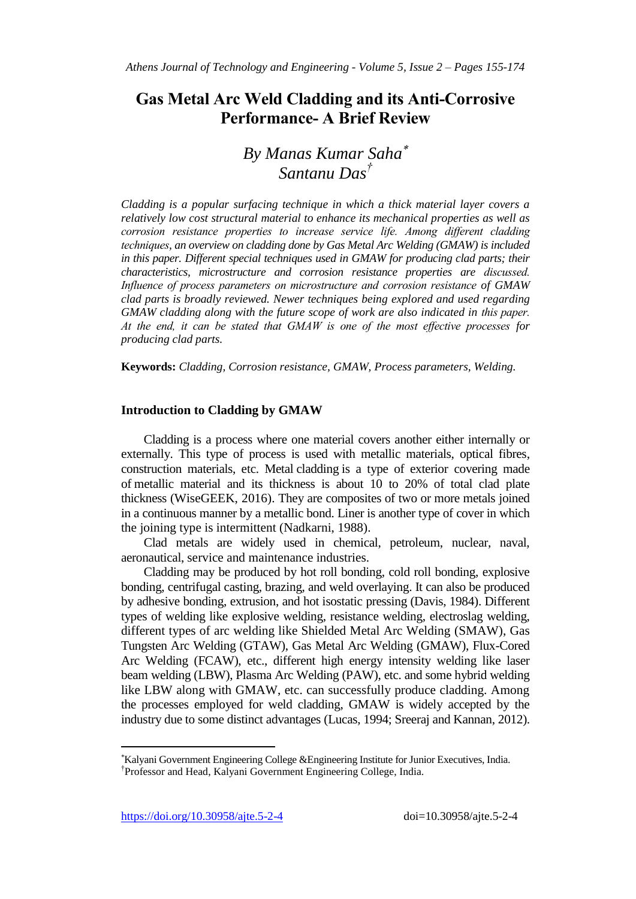# **Gas Metal Arc Weld Cladding and its Anti-Corrosive Performance- A Brief Review**

# *By Manas Kumar Saha Santanu Das†*

*Cladding is a popular surfacing technique in which a thick material layer covers a relatively low cost structural material to enhance its mechanical properties as well as corrosion resistance properties to increase service life. Among different cladding techniques, an overview on cladding done by Gas Metal Arc Welding (GMAW) is included in this paper. Different special techniques used in GMAW for producing clad parts; their characteristics, microstructure and corrosion resistance properties are discussed. Influence of process parameters on microstructure and corrosion resistance of GMAW clad parts is broadly reviewed. Newer techniques being explored and used regarding GMAW cladding along with the future scope of work are also indicated in this paper. At the end, it can be stated that GMAW is one of the most effective processes for producing clad parts.* 

**Keywords:** *Cladding, Corrosion resistance, GMAW, Process parameters, Welding.*

### **Introduction to Cladding by GMAW**

Cladding is a process where one material covers another either internally or externally. This type of process is used with metallic materials, optical fibres, construction materials, etc. Metal cladding is a type of exterior covering made of metallic material and its thickness is about 10 to 20% of total clad plate thickness [\(WiseGEEK, 2016\)](http://www.wisegeek.com/). They are composites of two or more metals joined in a continuous manner by a metallic bond. Liner is another type of cover in which the joining type is intermittent (Nadkarni, 1988).

Clad metals are widely used in chemical, petroleum, nuclear, naval, aeronautical, service and maintenance industries.

Cladding may be produced by hot roll bonding, cold roll bonding, explosive bonding, centrifugal casting, brazing, and weld overlaying. It can also be produced by adhesive bonding, extrusion, and hot isostatic pressing (Davis, 1984). Different types of welding like explosive welding, resistance welding, electroslag welding, different types of arc welding like Shielded Metal Arc Welding (SMAW), Gas Tungsten Arc Welding (GTAW), Gas Metal Arc Welding (GMAW), Flux-Cored Arc Welding (FCAW), etc., different high energy intensity welding like laser beam welding (LBW), Plasma Arc Welding (PAW), etc. and some hybrid welding like LBW along with GMAW, etc. can successfully produce cladding. Among the processes employed for weld cladding, GMAW is widely accepted by the industry due to some distinct advantages (Lucas, 1994; Sreeraj and Kannan, 2012).

 $\overline{\phantom{a}}$ 

Kalyani Government Engineering College &Engineering Institute for Junior Executives, India. † Professor and Head, Kalyani Government Engineering College, India.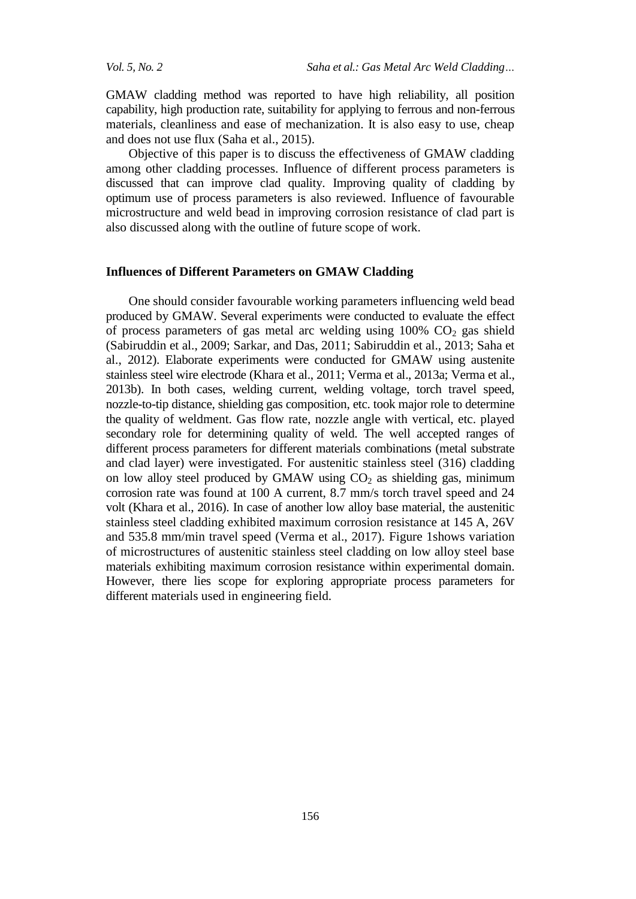GMAW cladding method was reported to have high reliability, all position capability, high production rate, suitability for applying to ferrous and non-ferrous materials, cleanliness and ease of mechanization. It is also easy to use, cheap and does not use flux (Saha et al., 2015).

Objective of this paper is to discuss the effectiveness of GMAW cladding among other cladding processes. Influence of different process parameters is discussed that can improve clad quality. Improving quality of cladding by optimum use of process parameters is also reviewed. Influence of favourable microstructure and weld bead in improving corrosion resistance of clad part is also discussed along with the outline of future scope of work.

#### **Influences of Different Parameters on GMAW Cladding**

One should consider favourable working parameters influencing weld bead produced by GMAW. Several experiments were conducted to evaluate the effect of process parameters of gas metal arc welding using  $100\%$  CO<sub>2</sub> gas shield (Sabiruddin et al., 2009; Sarkar, and Das, 2011; Sabiruddin et al., 2013; Saha et al., 2012). Elaborate experiments were conducted for GMAW using austenite stainless steel wire electrode (Khara et al., 2011; Verma et al., 2013a; Verma et al., 2013b). In both cases, welding current, welding voltage, torch travel speed, nozzle-to-tip distance, shielding gas composition, etc. took major role to determine the quality of weldment. Gas flow rate, nozzle angle with vertical, etc. played secondary role for determining quality of weld. The well accepted ranges of different process parameters for different materials combinations (metal substrate and clad layer) were investigated. For austenitic stainless steel (316) cladding on low alloy steel produced by GMAW using  $CO<sub>2</sub>$  as shielding gas, minimum corrosion rate was found at 100 A current, 8.7 mm/s torch travel speed and 24 volt (Khara et al., 2016). In case of another low alloy base material, the austenitic stainless steel cladding exhibited maximum corrosion resistance at 145 A, 26V and 535.8 mm/min travel speed (Verma et al., 2017). Figure 1shows variation of microstructures of austenitic stainless steel cladding on low alloy steel base materials exhibiting maximum corrosion resistance within experimental domain. However, there lies scope for exploring appropriate process parameters for different materials used in engineering field.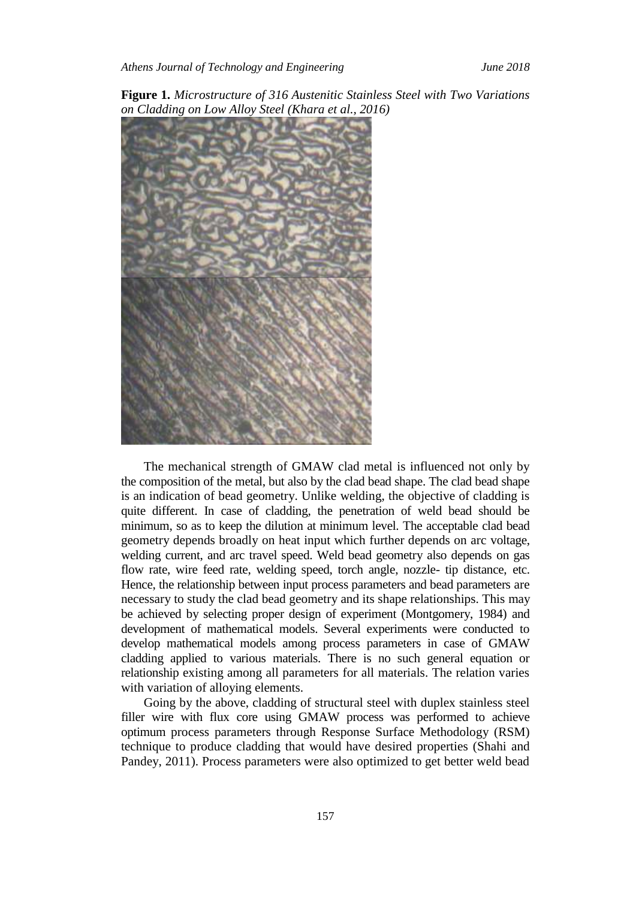**Figure 1.** *Microstructure of 316 Austenitic Stainless Steel with Two Variations on Cladding on Low Alloy Steel (Khara et al., 2016)*



The mechanical strength of GMAW clad metal is influenced not only by the composition of the metal, but also by the clad bead shape. The clad bead shape is an indication of bead geometry. Unlike welding, the objective of cladding is quite different. In case of cladding, the penetration of weld bead should be minimum, so as to keep the dilution at minimum level. The acceptable clad bead geometry depends broadly on heat input which further depends on arc voltage, welding current, and arc travel speed. Weld bead geometry also depends on gas flow rate, wire feed rate, welding speed, torch angle, nozzle- tip distance, etc. Hence, the relationship between input process parameters and bead parameters are necessary to study the clad bead geometry and its shape relationships. This may be achieved by selecting proper design of experiment (Montgomery, 1984) and development of mathematical models. Several experiments were conducted to develop mathematical models among process parameters in case of GMAW cladding applied to various materials. There is no such general equation or relationship existing among all parameters for all materials. The relation varies with variation of alloying elements.

Going by the above, cladding of structural steel with duplex stainless steel filler wire with flux core using GMAW process was performed to achieve optimum process parameters through Response Surface Methodology (RSM) technique to produce cladding that would have desired properties (Shahi and Pandey, 2011). Process parameters were also optimized to get better weld bead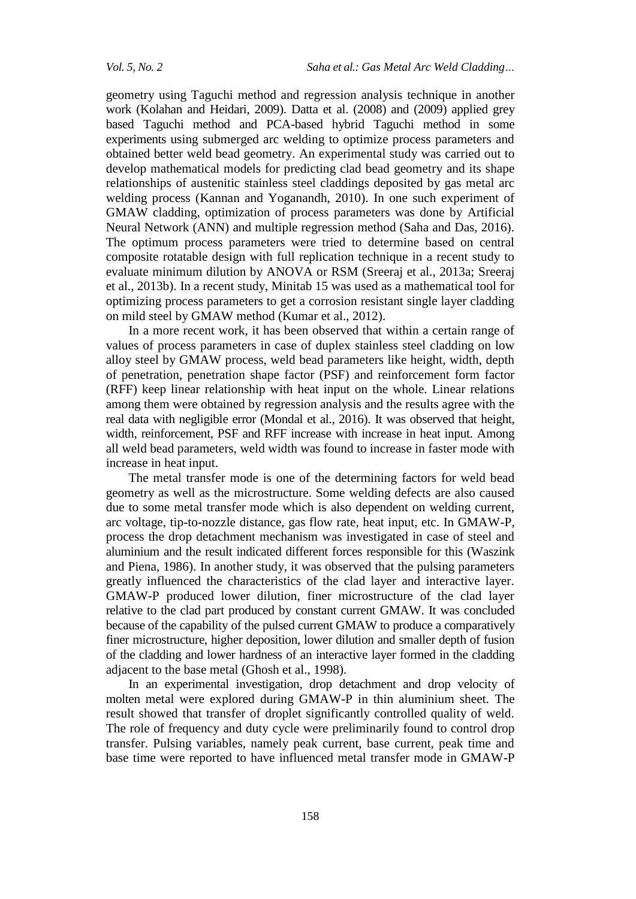geometry using Taguchi method and regression analysis technique in another work (Kolahan and Heidari, 2009). Datta et al. (2008) and (2009) applied grey based Taguchi method and PCA-based hybrid Taguchi method in some experiments using submerged arc welding to optimize process parameters and obtained better weld bead geometry. An experimental study was carried out to develop mathematical models for predicting clad bead geometry and its shape relationships of austenitic stainless steel claddings deposited by gas metal arc welding process (Kannan and Yoganandh, 2010). In one such experiment of GMAW cladding, optimization of process parameters was done by Artificial Neural Network (ANN) and multiple regression method (Saha and Das, 2016). The optimum process parameters were tried to determine based on central composite rotatable design with full replication technique in a recent study to evaluate minimum dilution by ANOVA or RSM (Sreeraj et al., 2013a; Sreeraj et al., 2013b). In a recent study, Minitab 15 was used as a mathematical tool for optimizing process parameters to get a corrosion resistant single layer cladding on mild steel by GMAW method (Kumar et al., 2012).

In a more recent work, it has been observed that within a certain range of values of process parameters in case of duplex stainless steel cladding on low alloy steel by GMAW process, weld bead parameters like height, width, depth of penetration, penetration shape factor (PSF) and reinforcement form factor (RFF) keep linear relationship with heat input on the whole. Linear relations among them were obtained by regression analysis and the results agree with the real data with negligible error (Mondal et al., 2016). It was observed that height, width, reinforcement, PSF and RFF increase with increase in heat input. Among all weld bead parameters, weld width was found to increase in faster mode with increase in heat input.

The metal transfer mode is one of the determining factors for weld bead geometry as well as the microstructure. Some welding defects are also caused due to some metal transfer mode which is also dependent on welding current, arc voltage, tip-to-nozzle distance, gas flow rate, heat input, etc. In GMAW-P, process the drop detachment mechanism was investigated in case of steel and aluminium and the result indicated different forces responsible for this (Waszink and Piena, 1986). In another study, it was observed that the pulsing parameters greatly influenced the characteristics of the clad layer and interactive layer. GMAW-P produced lower dilution, finer microstructure of the clad layer relative to the clad part produced by constant current GMAW. It was concluded because of the capability of the pulsed current GMAW to produce a comparatively finer microstructure, higher deposition, lower dilution and smaller depth of fusion of the cladding and lower hardness of an interactive layer formed in the cladding adjacent to the base metal (Ghosh et al., 1998).

In an experimental investigation, drop detachment and drop velocity of molten metal were explored during GMAW-P in thin aluminium sheet. The result showed that transfer of droplet significantly controlled quality of weld. The role of frequency and duty cycle were preliminarily found to control drop transfer. Pulsing variables, namely peak current, base current, peak time and base time were reported to have influenced metal transfer mode in GMAW-P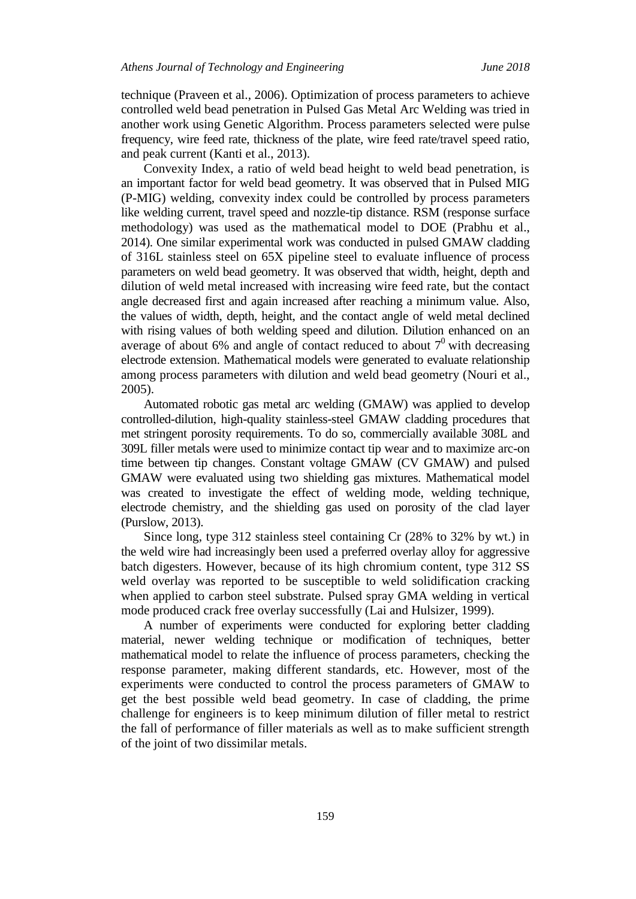technique (Praveen et al., 2006). Optimization of process parameters to achieve controlled weld bead penetration in Pulsed Gas Metal Arc Welding was tried in another work using Genetic Algorithm. Process parameters selected were pulse frequency, wire feed rate, thickness of the plate, wire feed rate/travel speed ratio, and peak current (Kanti et al., 2013).

Convexity Index, a ratio of weld bead height to weld bead penetration, is an important factor for weld bead geometry. It was observed that in Pulsed MIG (P-MIG) welding, convexity index could be controlled by process parameters like welding current, travel speed and nozzle-tip distance. RSM (response surface methodology) was used as the mathematical model to DOE (Prabhu et al., 2014). One similar experimental work was conducted in pulsed GMAW cladding of 316L stainless steel on 65X pipeline steel to evaluate influence of process parameters on weld bead geometry. It was observed that width, height, depth and dilution of weld metal increased with increasing wire feed rate, but the contact angle decreased first and again increased after reaching a minimum value. Also, the values of width, depth, height, and the contact angle of weld metal declined with rising values of both welding speed and dilution. Dilution enhanced on an average of about 6% and angle of contact reduced to about  $7^0$  with decreasing electrode extension. Mathematical models were generated to evaluate relationship among process parameters with dilution and weld bead geometry (Nouri et al., 2005).

Automated robotic gas metal arc welding (GMAW) was applied to develop controlled-dilution, high-quality stainless-steel GMAW cladding procedures that met stringent porosity requirements. To do so, commercially available 308L and 309L filler metals were used to minimize contact tip wear and to maximize arc-on time between tip changes. Constant voltage GMAW (CV GMAW) and pulsed GMAW were evaluated using two shielding gas mixtures. Mathematical model was created to investigate the effect of welding mode, welding technique, electrode chemistry, and the shielding gas used on porosity of the clad layer (Purslow, 2013).

Since long, type 312 stainless steel containing Cr (28% to 32% by wt.) in the weld wire had increasingly been used a preferred overlay alloy for aggressive batch digesters. However, because of its high chromium content, type 312 SS weld overlay was reported to be susceptible to weld solidification cracking when applied to carbon steel substrate. Pulsed spray GMA welding in vertical mode produced crack free overlay successfully (Lai and Hulsizer, 1999).

A number of experiments were conducted for exploring better cladding material, newer welding technique or modification of techniques, better mathematical model to relate the influence of process parameters, checking the response parameter, making different standards, etc. However, most of the experiments were conducted to control the process parameters of GMAW to get the best possible weld bead geometry. In case of cladding, the prime challenge for engineers is to keep minimum dilution of filler metal to restrict the fall of performance of filler materials as well as to make sufficient strength of the joint of two dissimilar metals.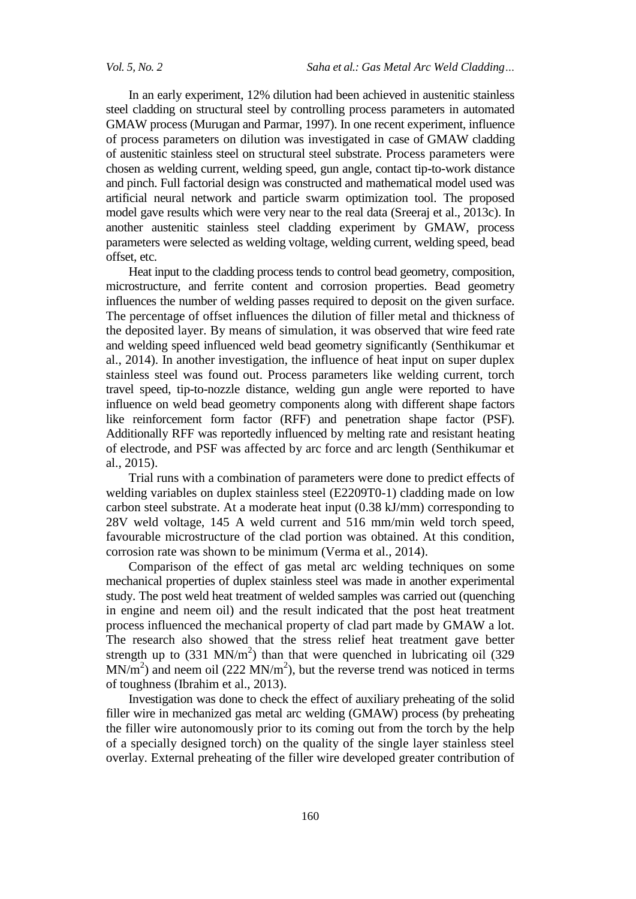In an early experiment, 12% dilution had been achieved in austenitic stainless steel cladding on structural steel by controlling process parameters in automated GMAW process (Murugan and Parmar, 1997). In one recent experiment, influence of process parameters on dilution was investigated in case of GMAW cladding of austenitic stainless steel on structural steel substrate. Process parameters were chosen as welding current, welding speed, gun angle, contact tip-to-work distance and pinch. Full factorial design was constructed and mathematical model used was artificial neural network and particle swarm optimization tool. The proposed model gave results which were very near to the real data (Sreeraj et al., 2013c). In another austenitic stainless steel cladding experiment by GMAW, process parameters were selected as welding voltage, welding current, welding speed, bead offset, etc.

Heat input to the cladding process tends to control bead geometry, composition, microstructure, and ferrite content and corrosion properties. Bead geometry influences the number of welding passes required to deposit on the given surface. The percentage of offset influences the dilution of filler metal and thickness of the deposited layer. By means of simulation, it was observed that wire feed rate and welding speed influenced weld bead geometry significantly (Senthikumar et al., 2014). In another investigation, the influence of heat input on super duplex stainless steel was found out. Process parameters like welding current, torch travel speed, tip-to-nozzle distance, welding gun angle were reported to have influence on weld bead geometry components along with different shape factors like reinforcement form factor (RFF) and penetration shape factor (PSF). Additionally RFF was reportedly influenced by melting rate and resistant heating of electrode, and PSF was affected by arc force and arc length (Senthikumar et al., 2015).

Trial runs with a combination of parameters were done to predict effects of welding variables on duplex stainless steel (E2209T0-1) cladding made on low carbon steel substrate. At a moderate heat input (0.38 kJ/mm) corresponding to 28V weld voltage, 145 A weld current and 516 mm/min weld torch speed, favourable microstructure of the clad portion was obtained. At this condition, corrosion rate was shown to be minimum (Verma et al., 2014).

Comparison of the effect of gas metal arc welding techniques on some mechanical properties of duplex stainless steel was made in another experimental study. The post weld heat treatment of welded samples was carried out (quenching in engine and neem oil) and the result indicated that the post heat treatment process influenced the mechanical property of clad part made by GMAW a lot. The research also showed that the stress relief heat treatment gave better strength up to  $(331 \text{ MN/m}^2)$  than that were quenched in lubricating oil  $(329 \text{ MN/m}^2)$  $MN/m<sup>2</sup>$ ) and neem oil (222 MN/m<sup>2</sup>), but the reverse trend was noticed in terms of toughness (Ibrahim et al., 2013).

Investigation was done to check the effect of auxiliary preheating of the solid filler wire in mechanized gas metal arc welding (GMAW) process (by preheating the filler wire autonomously prior to its coming out from the torch by the help of a specially designed torch) on the quality of the single layer stainless steel overlay. External preheating of the filler wire developed greater contribution of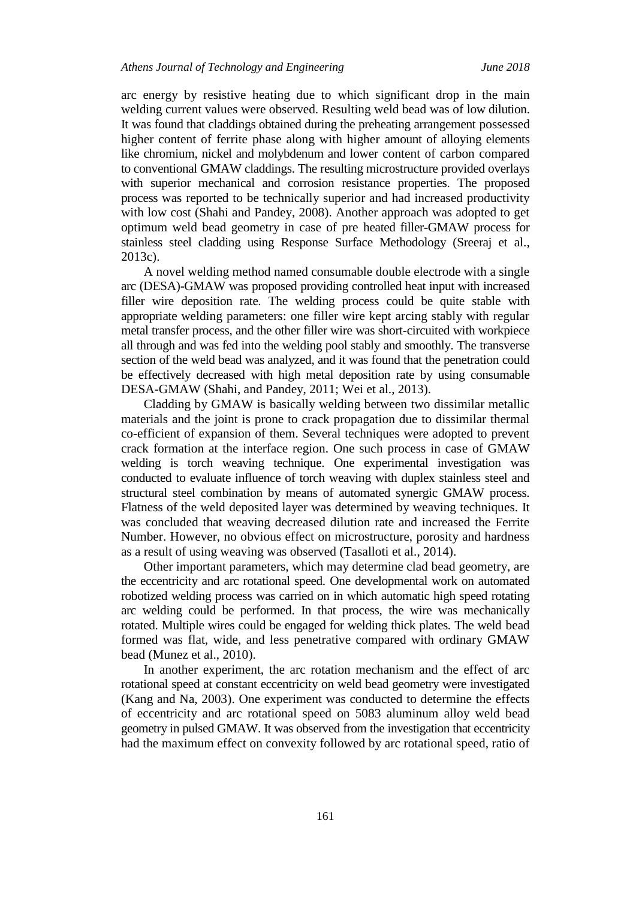arc energy by resistive heating due to which significant drop in the main welding current values were observed. Resulting weld bead was of low dilution. It was found that claddings obtained during the preheating arrangement possessed higher content of ferrite phase along with higher amount of alloying elements like chromium, nickel and molybdenum and lower content of carbon compared to conventional GMAW claddings. The resulting microstructure provided overlays with superior mechanical and corrosion resistance properties. The proposed process was reported to be technically superior and had increased productivity with low cost (Shahi and Pandey, 2008). Another approach was adopted to get optimum weld bead geometry in case of pre heated filler-GMAW process for stainless steel cladding using Response Surface Methodology (Sreeraj et al., 2013c).

A novel welding method named consumable double electrode with a single arc (DESA)-GMAW was proposed providing controlled heat input with increased filler wire deposition rate. The welding process could be quite stable with appropriate welding parameters: one filler wire kept arcing stably with regular metal transfer process, and the other filler wire was short-circuited with workpiece all through and was fed into the welding pool stably and smoothly. The transverse section of the weld bead was analyzed, and it was found that the penetration could be effectively decreased with high metal deposition rate by using consumable DESA-GMAW (Shahi, and Pandey, 2011; Wei et al., 2013).

Cladding by GMAW is basically welding between two dissimilar metallic materials and the joint is prone to crack propagation due to dissimilar thermal co-efficient of expansion of them. Several techniques were adopted to prevent crack formation at the interface region. One such process in case of GMAW welding is torch weaving technique. One experimental investigation was conducted to evaluate influence of torch weaving with duplex stainless steel and structural steel combination by means of automated synergic GMAW process. Flatness of the weld deposited layer was determined by weaving techniques. It was concluded that weaving decreased dilution rate and increased the Ferrite Number. However, no obvious effect on microstructure, porosity and hardness as a result of using weaving was observed (Tasalloti et al., 2014).

Other important parameters, which may determine clad bead geometry, are the eccentricity and arc rotational speed. One developmental work on automated robotized welding process was carried on in which automatic high speed rotating arc welding could be performed. In that process, the wire was mechanically rotated. Multiple wires could be engaged for welding thick plates. The weld bead formed was flat, wide, and less penetrative compared with ordinary GMAW bead (Munez et al., 2010).

In another experiment, the arc rotation mechanism and the effect of arc rotational speed at constant eccentricity on weld bead geometry were investigated (Kang and Na, 2003). One experiment was conducted to determine the effects of eccentricity and arc rotational speed on 5083 aluminum alloy weld bead geometry in pulsed GMAW. It was observed from the investigation that eccentricity had the maximum effect on convexity followed by arc rotational speed, ratio of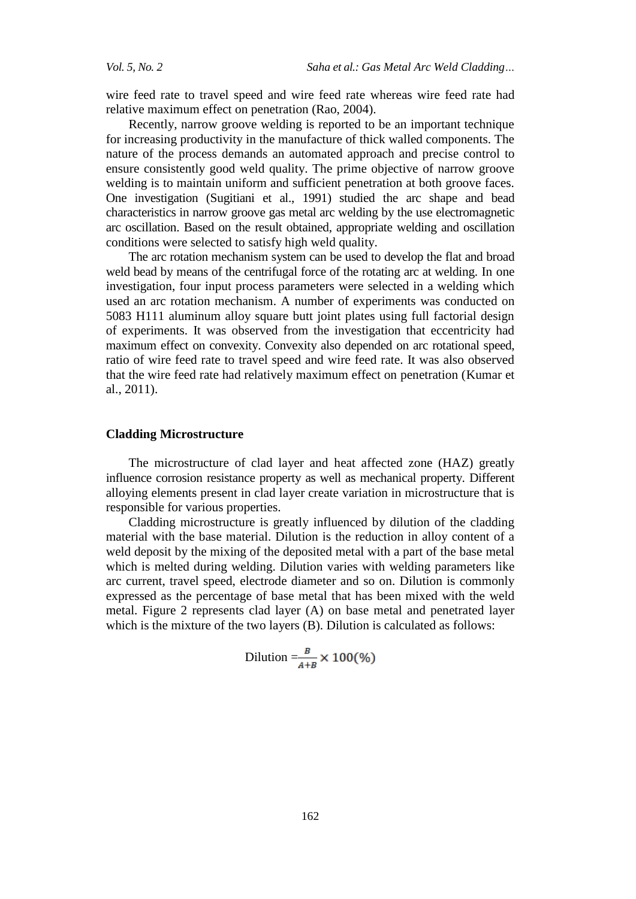*Vol. 5, No. 2 Saha et al.: Gas Metal Arc Weld Cladding…*

wire feed rate to travel speed and wire feed rate whereas wire feed rate had relative maximum effect on penetration (Rao, 2004).

Recently, narrow groove welding is reported to be an important technique for increasing productivity in the manufacture of thick walled components. The nature of the process demands an automated approach and precise control to ensure consistently good weld quality. The prime objective of narrow groove welding is to maintain uniform and sufficient penetration at both groove faces. One investigation (Sugitiani et al., 1991) studied the arc shape and bead characteristics in narrow groove gas metal arc welding by the use electromagnetic arc oscillation. Based on the result obtained, appropriate welding and oscillation conditions were selected to satisfy high weld quality.

The arc rotation mechanism system can be used to develop the flat and broad weld bead by means of the centrifugal force of the rotating arc at welding. In one investigation, four input process parameters were selected in a welding which used an arc rotation mechanism. A number of experiments was conducted on 5083 H111 aluminum alloy square butt joint plates using full factorial design of experiments. It was observed from the investigation that eccentricity had maximum effect on convexity. Convexity also depended on arc rotational speed, ratio of wire feed rate to travel speed and wire feed rate. It was also observed that the wire feed rate had relatively maximum effect on penetration (Kumar et al., 2011).

#### **Cladding Microstructure**

The microstructure of clad layer and heat affected zone (HAZ) greatly influence corrosion resistance property as well as mechanical property. Different alloying elements present in clad layer create variation in microstructure that is responsible for various properties.

Cladding microstructure is greatly influenced by dilution of the cladding material with the base material. Dilution is the reduction in alloy content of a weld deposit by the mixing of the deposited metal with a part of the base metal which is melted during welding. Dilution varies with welding parameters like arc current, travel speed, electrode diameter and so on. Dilution is commonly expressed as the percentage of base metal that has been mixed with the weld metal. Figure 2 represents clad layer (A) on base metal and penetrated layer which is the mixture of the two layers (B). Dilution is calculated as follows:

$$
\text{Dilution} = \frac{B}{A+B} \times 100\,(^0\%)
$$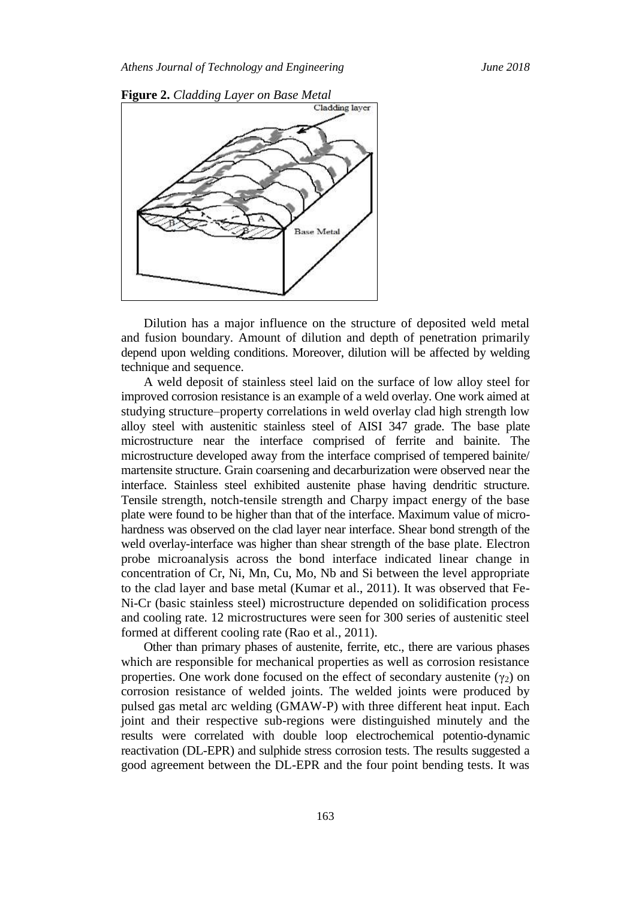

Dilution has a major influence on the structure of deposited weld metal and fusion boundary. Amount of dilution and depth of penetration primarily depend upon welding conditions. Moreover, dilution will be affected by welding technique and sequence.

A weld deposit of stainless steel laid on the surface of low alloy steel for improved corrosion resistance is an example of a weld overlay. One work aimed at studying structure–property correlations in weld overlay clad high strength low alloy steel with austenitic stainless steel of AISI 347 grade. The base plate microstructure near the interface comprised of ferrite and bainite. The microstructure developed away from the interface comprised of tempered bainite/ martensite structure. Grain coarsening and decarburization were observed near the interface. Stainless steel exhibited austenite phase having dendritic structure. Tensile strength, notch-tensile strength and Charpy impact energy of the base plate were found to be higher than that of the interface. Maximum value of microhardness was observed on the clad layer near interface. Shear bond strength of the weld overlay-interface was higher than shear strength of the base plate. Electron probe microanalysis across the bond interface indicated linear change in concentration of Cr, Ni, Mn, Cu, Mo, Nb and Si between the level appropriate to the clad layer and base metal (Kumar et al., 2011). It was observed that Fe-Ni-Cr (basic stainless steel) microstructure depended on solidification process and cooling rate. 12 microstructures were seen for 300 series of austenitic steel formed at different cooling rate (Rao et al., 2011).

Other than primary phases of austenite, ferrite, etc., there are various phases which are responsible for mechanical properties as well as corrosion resistance properties. One work done focused on the effect of secondary austenite ( $\gamma_2$ ) on corrosion resistance of welded joints. The welded joints were produced by pulsed gas metal arc welding (GMAW-P) with three different heat input. Each joint and their respective sub-regions were distinguished minutely and the results were correlated with double loop electrochemical potentio-dynamic reactivation (DL-EPR) and sulphide stress corrosion tests. The results suggested a good agreement between the DL-EPR and the four point bending tests. It was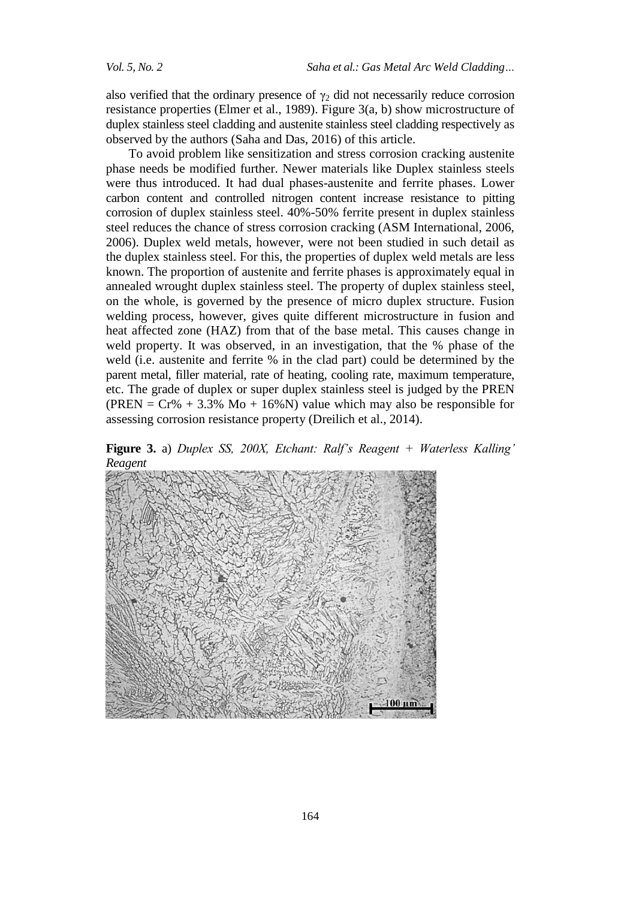also verified that the ordinary presence of  $\gamma_2$  did not necessarily reduce corrosion resistance properties (Elmer et al., 1989). Figure 3(a, b) show microstructure of duplex stainless steel cladding and austenite stainless steel cladding respectively as observed by the authors (Saha and Das, 2016) of this article.

To avoid problem like sensitization and stress corrosion cracking austenite phase needs be modified further. Newer materials like Duplex stainless steels were thus introduced. It had dual phases-austenite and ferrite phases. Lower carbon content and controlled nitrogen content increase resistance to pitting corrosion of duplex stainless steel. 40%-50% ferrite present in duplex stainless steel reduces the chance of stress corrosion cracking (ASM International, 2006, 2006). Duplex weld metals, however, were not been studied in such detail as the duplex stainless steel. For this, the properties of duplex weld metals are less known. The proportion of austenite and ferrite phases is approximately equal in annealed wrought duplex stainless steel. The property of duplex stainless steel, on the whole, is governed by the presence of micro duplex structure. Fusion welding process, however, gives quite different microstructure in fusion and heat affected zone (HAZ) from that of the base metal. This causes change in weld property. It was observed, in an investigation, that the % phase of the weld (i.e. austenite and ferrite % in the clad part) could be determined by the parent metal, filler material, rate of heating, cooling rate, maximum temperature, etc. The grade of duplex or super duplex stainless steel is judged by the PREN (PREN =  $Cr\%$  + 3.3% Mo + 16%N) value which may also be responsible for assessing corrosion resistance property (Dreilich et al., 2014).

**Figure 3.** a) *Duplex SS, 200X, Etchant: Ralf's Reagent + Waterless Kalling' Reagent*

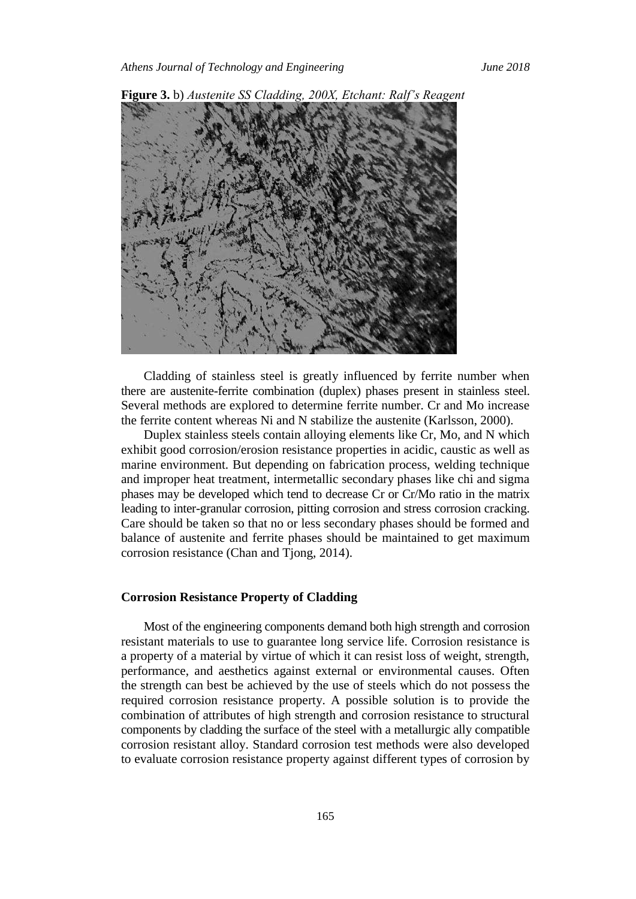

**Figure 3.** b) *Austenite SS Cladding, 200X, Etchant: Ralf's Reagent*

Cladding of stainless steel is greatly influenced by ferrite number when there are austenite-ferrite combination (duplex) phases present in stainless steel. Several methods are explored to determine ferrite number. Cr and Mo increase the ferrite content whereas Ni and N stabilize the austenite (Karlsson, 2000).

Duplex stainless steels contain alloying elements like Cr, Mo, and N which exhibit good corrosion/erosion resistance properties in acidic, caustic as well as marine environment. But depending on fabrication process, welding technique and improper heat treatment, intermetallic secondary phases like chi and sigma phases may be developed which tend to decrease Cr or Cr/Mo ratio in the matrix leading to inter-granular corrosion, pitting corrosion and stress corrosion cracking. Care should be taken so that no or less secondary phases should be formed and balance of austenite and ferrite phases should be maintained to get maximum corrosion resistance (Chan and Tjong, 2014).

## **Corrosion Resistance Property of Cladding**

Most of the engineering components demand both high strength and corrosion resistant materials to use to guarantee long service life. Corrosion resistance is a property of a material by virtue of which it can resist loss of weight, strength, performance, and aesthetics against external or environmental causes. Often the strength can best be achieved by the use of steels which do not possess the required corrosion resistance property. A possible solution is to provide the combination of attributes of high strength and corrosion resistance to structural components by cladding the surface of the steel with a metallurgic ally compatible corrosion resistant alloy. Standard corrosion test methods were also developed to evaluate corrosion resistance property against different types of corrosion by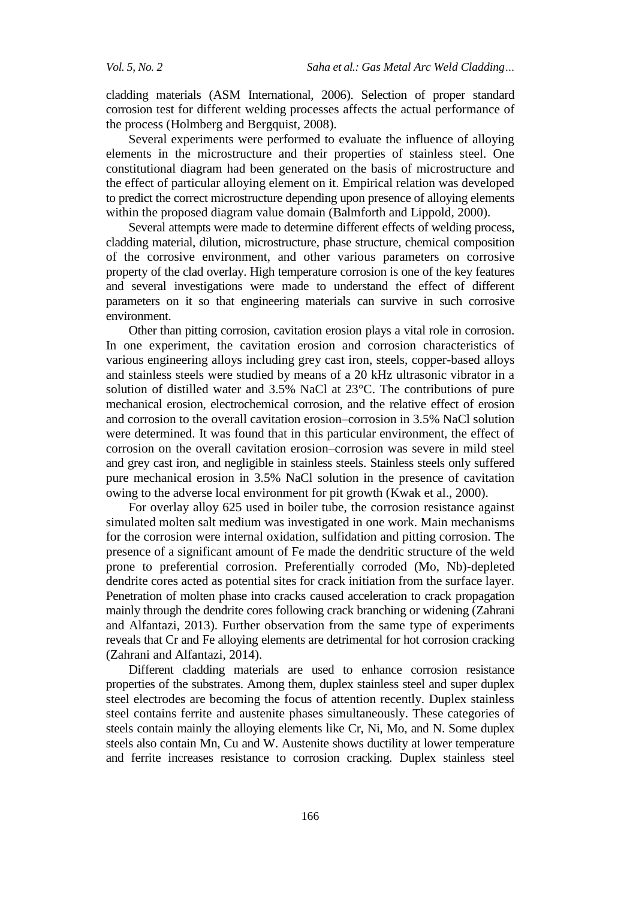cladding materials (ASM International, 2006). Selection of proper standard corrosion test for different welding processes affects the actual performance of the process (Holmberg and Bergquist, 2008).

Several experiments were performed to evaluate the influence of alloying elements in the microstructure and their properties of stainless steel. One constitutional diagram had been generated on the basis of microstructure and the effect of particular alloying element on it. Empirical relation was developed to predict the correct microstructure depending upon presence of alloying elements within the proposed diagram value domain (Balmforth and Lippold, 2000).

Several attempts were made to determine different effects of welding process, cladding material, dilution, microstructure, phase structure, chemical composition of the corrosive environment, and other various parameters on corrosive property of the clad overlay. High temperature corrosion is one of the key features and several investigations were made to understand the effect of different parameters on it so that engineering materials can survive in such corrosive environment.

Other than pitting corrosion, cavitation erosion plays a vital role in corrosion. In one experiment, the cavitation erosion and corrosion characteristics of various engineering alloys including grey cast iron, steels, copper-based alloys and stainless steels were studied by means of a 20 kHz ultrasonic vibrator in a solution of distilled water and 3.5% NaCl at 23°C. The contributions of pure mechanical erosion, electrochemical corrosion, and the relative effect of erosion and corrosion to the overall cavitation erosion–corrosion in 3.5% NaCl solution were determined. It was found that in this particular environment, the effect of corrosion on the overall cavitation erosion–corrosion was severe in mild steel and grey cast iron, and negligible in stainless steels. Stainless steels only suffered pure mechanical erosion in 3.5% NaCl solution in the presence of cavitation owing to the adverse local environment for pit growth (Kwak et al., 2000).

For overlay alloy 625 used in boiler tube, the corrosion resistance against simulated molten salt medium was investigated in one work. Main mechanisms for the corrosion were internal oxidation, sulfidation and pitting corrosion. The presence of a significant amount of Fe made the dendritic structure of the weld prone to preferential corrosion. Preferentially corroded (Mo, Nb)-depleted dendrite cores acted as potential sites for crack initiation from the surface layer. Penetration of molten phase into cracks caused acceleration to crack propagation mainly through the dendrite cores following crack branching or widening (Zahrani and Alfantazi, 2013). Further observation from the same type of experiments reveals that Cr and Fe alloying elements are detrimental for hot corrosion cracking (Zahrani and Alfantazi, 2014).

Different cladding materials are used to enhance corrosion resistance properties of the substrates. Among them, duplex stainless steel and super duplex steel electrodes are becoming the focus of attention recently. Duplex stainless steel contains ferrite and austenite phases simultaneously. These categories of steels contain mainly the alloying elements like Cr, Ni, Mo, and N. Some duplex steels also contain Mn, Cu and W. Austenite shows ductility at lower temperature and ferrite increases resistance to corrosion cracking. Duplex stainless steel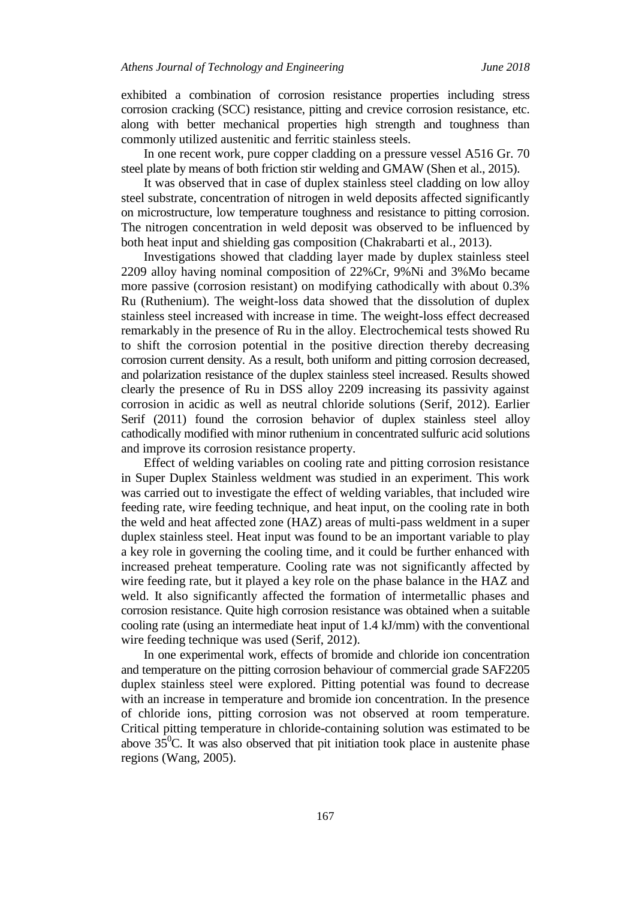exhibited a combination of corrosion resistance properties including stress corrosion cracking (SCC) resistance, pitting and crevice corrosion resistance, etc. along with better mechanical properties high strength and toughness than commonly utilized austenitic and ferritic stainless steels.

In one recent work, pure copper cladding on a pressure vessel A516 Gr. 70 steel plate by means of both friction stir welding and GMAW (Shen et al., 2015).

It was observed that in case of duplex stainless steel cladding on low alloy steel substrate, concentration of nitrogen in weld deposits affected significantly on microstructure, low temperature toughness and resistance to pitting corrosion. The nitrogen concentration in weld deposit was observed to be influenced by both heat input and shielding gas composition (Chakrabarti et al., 2013).

Investigations showed that cladding layer made by duplex stainless steel 2209 alloy having nominal composition of 22%Cr, 9%Ni and 3%Mo became more passive (corrosion resistant) on modifying cathodically with about 0.3% Ru (Ruthenium). The weight-loss data showed that the dissolution of duplex stainless steel increased with increase in time. The weight-loss effect decreased remarkably in the presence of Ru in the alloy. Electrochemical tests showed Ru to shift the corrosion potential in the positive direction thereby decreasing corrosion current density. As a result, both uniform and pitting corrosion decreased, and polarization resistance of the duplex stainless steel increased. Results showed clearly the presence of Ru in DSS alloy 2209 increasing its passivity against corrosion in acidic as well as neutral chloride solutions (Serif, 2012). Earlier Serif (2011) found the corrosion behavior of duplex stainless steel alloy cathodically modified with minor ruthenium in concentrated sulfuric acid solutions and improve its corrosion resistance property.

Effect of welding variables on cooling rate and pitting corrosion resistance in Super Duplex Stainless weldment was studied in an experiment. This work was carried out to investigate the effect of welding variables, that included wire feeding rate, wire feeding technique, and heat input, on the cooling rate in both the weld and heat affected zone (HAZ) areas of multi-pass weldment in a super duplex stainless steel. Heat input was found to be an important variable to play a key role in governing the cooling time, and it could be further enhanced with increased preheat temperature. Cooling rate was not significantly affected by wire feeding rate, but it played a key role on the phase balance in the HAZ and weld. It also significantly affected the formation of intermetallic phases and corrosion resistance. Quite high corrosion resistance was obtained when a suitable cooling rate (using an intermediate heat input of 1.4 kJ/mm) with the conventional wire feeding technique was used (Serif, 2012).

In one experimental work, effects of bromide and chloride ion concentration and temperature on the pitting corrosion behaviour of commercial grade SAF2205 duplex stainless steel were explored. Pitting potential was found to decrease with an increase in temperature and bromide ion concentration. In the presence of chloride ions, pitting corrosion was not observed at room temperature. Critical pitting temperature in chloride-containing solution was estimated to be above  $35^0$ C. It was also observed that pit initiation took place in austenite phase regions (Wang, 2005).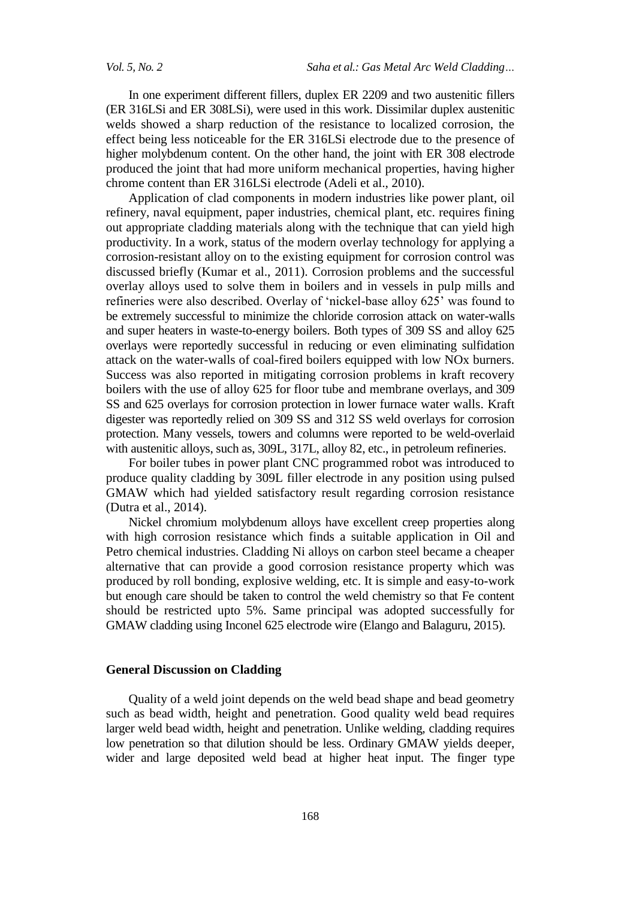In one experiment different fillers, duplex ER 2209 and two austenitic fillers (ER 316LSi and ER 308LSi), were used in this work. Dissimilar duplex austenitic welds showed a sharp reduction of the resistance to localized corrosion, the effect being less noticeable for the ER 316LSi electrode due to the presence of higher molybdenum content. On the other hand, the joint with ER 308 electrode produced the joint that had more uniform mechanical properties, having higher chrome content than ER 316LSi electrode (Adeli et al., 2010).

Application of clad components in modern industries like power plant, oil refinery, naval equipment, paper industries, chemical plant, etc. requires fining out appropriate cladding materials along with the technique that can yield high productivity. In a work, status of the modern overlay technology for applying a corrosion-resistant alloy on to the existing equipment for corrosion control was discussed briefly (Kumar et al., 2011). Corrosion problems and the successful overlay alloys used to solve them in boilers and in vessels in pulp mills and refineries were also described. Overlay of "nickel-base alloy 625" was found to be extremely successful to minimize the chloride corrosion attack on water-walls and super heaters in waste-to-energy boilers. Both types of 309 SS and alloy 625 overlays were reportedly successful in reducing or even eliminating sulfidation attack on the water-walls of coal-fired boilers equipped with low NOx burners. Success was also reported in mitigating corrosion problems in kraft recovery boilers with the use of alloy 625 for floor tube and membrane overlays, and 309 SS and 625 overlays for corrosion protection in lower furnace water walls. Kraft digester was reportedly relied on 309 SS and 312 SS weld overlays for corrosion protection. Many vessels, towers and columns were reported to be weld-overlaid with austenitic alloys, such as, 309L, 317L, alloy 82, etc., in petroleum refineries.

For boiler tubes in power plant CNC programmed robot was introduced to produce quality cladding by 309L filler electrode in any position using pulsed GMAW which had yielded satisfactory result regarding corrosion resistance (Dutra et al., 2014).

Nickel chromium molybdenum alloys have excellent creep properties along with high corrosion resistance which finds a suitable application in Oil and Petro chemical industries. Cladding Ni alloys on carbon steel became a cheaper alternative that can provide a good corrosion resistance property which was produced by roll bonding, explosive welding, etc. It is simple and easy-to-work but enough care should be taken to control the weld chemistry so that Fe content should be restricted upto 5%. Same principal was adopted successfully for GMAW cladding using Inconel 625 electrode wire (Elango and Balaguru, 2015).

#### **General Discussion on Cladding**

Quality of a weld joint depends on the weld bead shape and bead geometry such as bead width, height and penetration. Good quality weld bead requires larger weld bead width, height and penetration. Unlike welding, cladding requires low penetration so that dilution should be less. Ordinary GMAW yields deeper, wider and large deposited weld bead at higher heat input. The finger type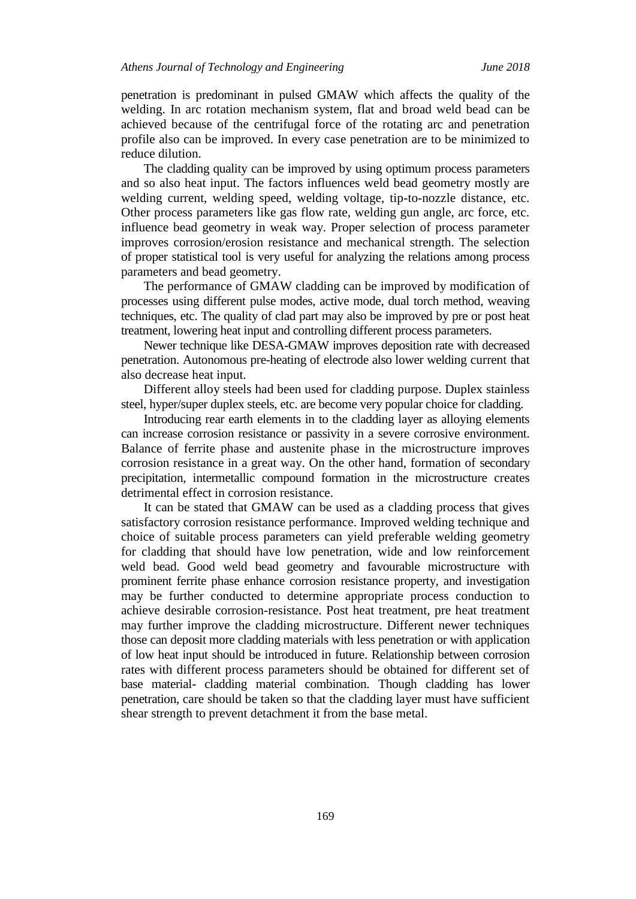penetration is predominant in pulsed GMAW which affects the quality of the welding. In arc rotation mechanism system, flat and broad weld bead can be achieved because of the centrifugal force of the rotating arc and penetration profile also can be improved. In every case penetration are to be minimized to reduce dilution.

The cladding quality can be improved by using optimum process parameters and so also heat input. The factors influences weld bead geometry mostly are welding current, welding speed, welding voltage, tip-to-nozzle distance, etc. Other process parameters like gas flow rate, welding gun angle, arc force, etc. influence bead geometry in weak way. Proper selection of process parameter improves corrosion/erosion resistance and mechanical strength. The selection of proper statistical tool is very useful for analyzing the relations among process parameters and bead geometry.

The performance of GMAW cladding can be improved by modification of processes using different pulse modes, active mode, dual torch method, weaving techniques, etc. The quality of clad part may also be improved by pre or post heat treatment, lowering heat input and controlling different process parameters.

Newer technique like DESA-GMAW improves deposition rate with decreased penetration. Autonomous pre-heating of electrode also lower welding current that also decrease heat input.

Different alloy steels had been used for cladding purpose. Duplex stainless steel, hyper/super duplex steels, etc. are become very popular choice for cladding.

Introducing rear earth elements in to the cladding layer as alloying elements can increase corrosion resistance or passivity in a severe corrosive environment. Balance of ferrite phase and austenite phase in the microstructure improves corrosion resistance in a great way. On the other hand, formation of secondary precipitation, intermetallic compound formation in the microstructure creates detrimental effect in corrosion resistance.

It can be stated that GMAW can be used as a cladding process that gives satisfactory corrosion resistance performance. Improved welding technique and choice of suitable process parameters can yield preferable welding geometry for cladding that should have low penetration, wide and low reinforcement weld bead. Good weld bead geometry and favourable microstructure with prominent ferrite phase enhance corrosion resistance property, and investigation may be further conducted to determine appropriate process conduction to achieve desirable corrosion-resistance. Post heat treatment, pre heat treatment may further improve the cladding microstructure. Different newer techniques those can deposit more cladding materials with less penetration or with application of low heat input should be introduced in future. Relationship between corrosion rates with different process parameters should be obtained for different set of base material- cladding material combination. Though cladding has lower penetration, care should be taken so that the cladding layer must have sufficient shear strength to prevent detachment it from the base metal.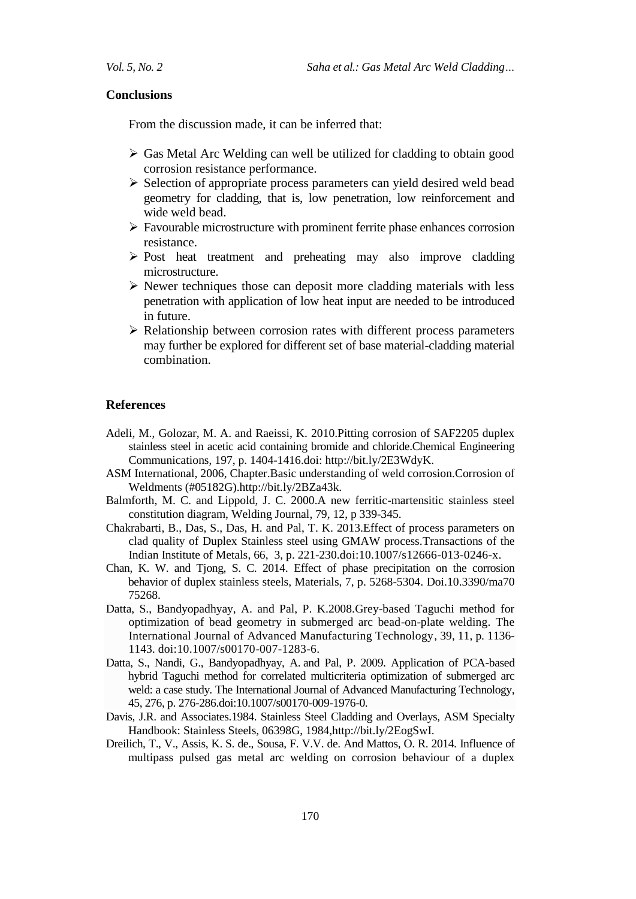#### **Conclusions**

From the discussion made, it can be inferred that:

- $\triangleright$  Gas Metal Arc Welding can well be utilized for cladding to obtain good corrosion resistance performance.
- $\triangleright$  Selection of appropriate process parameters can yield desired weld bead geometry for cladding, that is, low penetration, low reinforcement and wide weld bead.
- $\triangleright$  Favourable microstructure with prominent ferrite phase enhances corrosion resistance.
- $\triangleright$  Post heat treatment and preheating may also improve cladding microstructure.
- $\triangleright$  Newer techniques those can deposit more cladding materials with less penetration with application of low heat input are needed to be introduced in future.
- $\triangleright$  Relationship between corrosion rates with different process parameters may further be explored for different set of base material-cladding material combination.

### **References**

- Adeli, M., Golozar, M. A. and Raeissi, K. 2010.Pitting corrosion of SAF2205 duplex stainless steel in acetic acid containing bromide and chloride.Chemical Engineering Communications, 197, p. 1404-1416.doi: http://bit.ly/2E3WdyK.
- ASM International, 2006, Chapter.Basic understanding of weld corrosion.Corrosion of Weldments (#05182G).http://bit.ly/2BZa43k.
- Balmforth, M. C. and Lippold, J. C. 2000.A new ferritic-martensitic stainless steel constitution diagram, Welding Journal, 79, 12, p 339-345.
- Chakrabarti, B., Das, S., Das, H. and Pal, T. K. 2013.Effect of process parameters on clad quality of Duplex Stainless steel using GMAW process[.Transactions of the](http://link.springer.com/journal/12666)  [Indian Institute of Metals,](http://link.springer.com/journal/12666) 66, [3,](http://link.springer.com/journal/12666/66/3/page/1) p. 221-230.doi:10.1007/s12666-013-0246-x.
- Chan, K. W. and Tjong, S. C. 2014. Effect of phase precipitation on the corrosion behavior of duplex stainless steels, Materials, 7, p. 5268-5304. Doi.10.3390/ma70 75268.
- Datta, S., Bandyopadhyay, A. and Pal, P. K.2008.Grey-based Taguchi method for optimization of bead geometry in submerged arc bead-on-plate welding. [The](https://link.springer.com/journal/170)  [International Journal of Advanced Manufacturing Technology,](https://link.springer.com/journal/170) 39, 11, p. 1136- 1143. doi:10.1007/s00170-007-1283-6.
- Datta, S., Nandi, G., Bandyopadhyay, A. and Pal, P. 2009. Application of PCA-based hybrid Taguchi method for correlated multicriteria optimization of submerged arc weld: a case study. [The International Journal of Advanced Manufacturing Technology,](https://link.springer.com/journal/170) 45, 276, p. 276-286.doi:10.1007/s00170-009-1976-0.
- Davis, J.R. and Associates.1984. Stainless Steel Cladding and Overlays, ASM Specialty Handbook: Stainless Steels, 06398G, 1984,http://bit.ly/2EogSwI.
- Dreilich, T., V., Assis, K. S. de., Sousa, F. V.V. de. And Mattos, O. R. 2014. Influence of multipass pulsed gas metal arc welding on corrosion behaviour of a duplex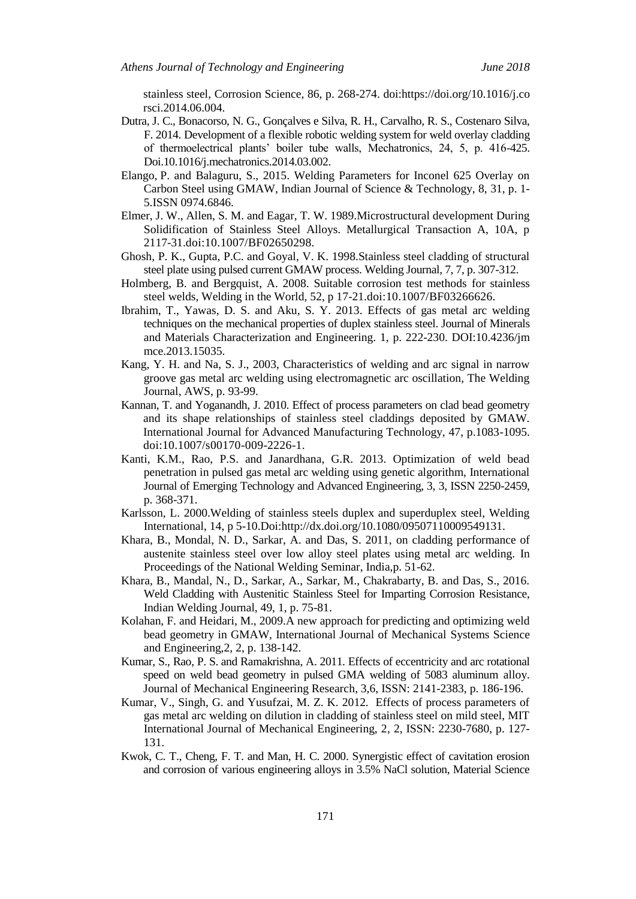stainless steel, Corrosion Science, 86, p. 268-274. doi:https://doi.org/10.1016/j.co rsci.2014.06.004.

- [Dutra, J. C., Bonacorso, N. G., Gonçalves e Silva,](http://www.sciencedirect.com/science/article/pii/S0957415814000518#!) R. H., [Carvalho, R. S., Costenaro](http://www.sciencedirect.com/science/article/pii/S0957415814000518#!) Silva, F. 2014. Development of a flexible robotic welding system for weld overlay cladding of thermoelectrical plants" boiler tube walls, Mechatronics, 24, 5, p. 416-425. Doi.10.1016/j.mechatronics.2014.03.002.
- Elango, P. and Balaguru, S., 2015. Welding Parameters for Inconel 625 Overlay on Carbon Steel using GMAW, Indian Journal of Science & Technology, 8, 31, p. 1- 5.ISSN 0974.6846.
- Elmer, J. W., Allen, S. M. and Eagar, T. W. 1989.Microstructural development During Solidification of Stainless Steel Alloys. Metallurgical Transaction A, 10A, p 2117-31.doi:10.1007/BF02650298.
- Ghosh, P. K., Gupta, P.C. and Goyal, V. K. 1998.Stainless steel cladding of structural steel plate using pulsed current GMAW process. Welding Journal, 7, 7, p. 307-312.
- Holmberg, B. and Bergquist, A. 2008. Suitable corrosion test methods for stainless steel welds, Welding in the World, 52, p 17-21.doi:10.1007/BF03266626.
- Ibrahim, T., Yawas, D. S. and Aku, S. Y. 2013. Effects of gas metal arc welding techniques on the mechanical properties of duplex stainless steel. Journal of Minerals and Materials Characterization and Engineering. 1, p. 222-230. DOI:10.4236/jm mce.2013.15035.
- Kang, Y. H. and Na, S. J., 2003, Characteristics of welding and arc signal in narrow groove gas metal arc welding using electromagnetic arc oscillation, The Welding Journal, AWS, p. 93-99.
- Kannan, T. and Yoganandh, J. 2010. Effect of process parameters on clad bead geometry and its shape relationships of stainless steel claddings deposited by GMAW. International Journal for Advanced Manufacturing Technology, 47, p.1083-1095. doi:10.1007/s00170-009-2226-1.
- Kanti, K.M., Rao, P.S. and Janardhana, G.R. 2013. Optimization of weld bead penetration in pulsed gas metal arc welding using genetic algorithm, International Journal of Emerging Technology and Advanced Engineering, 3, 3, ISSN 2250-2459, p. 368-371.
- Karlsson, L. 2000.Welding of stainless steels duplex and superduplex steel, Welding International, 14, p 5-10.Doi:http://dx.doi.org/10.1080/09507110009549131.
- Khara, B., Mondal, N. D., Sarkar, A. and Das, S. 2011, on cladding performance of austenite stainless steel over low alloy steel plates using metal arc welding. In Proceedings of the National Welding Seminar, India,p. 51-62.
- Khara, B., Mandal, N., D., Sarkar, A., Sarkar, M., Chakrabarty, B. and Das, S., 2016. Weld Cladding with Austenitic Stainless Steel for Imparting Corrosion Resistance, Indian Welding Journal, 49, 1, p. 75-81.
- Kolahan, F. and Heidari, M., 2009.A new approach for predicting and optimizing weld bead geometry in GMAW, International Journal of Mechanical Systems Science and Engineering,2, 2, p. 138-142.
- Kumar, S., Rao, P. S. and Ramakrishna, A. 2011. Effects of eccentricity and arc rotational speed on weld bead geometry in pulsed GMA welding of 5083 aluminum alloy. Journal of Mechanical Engineering Research, 3,6, ISSN: 2141-2383, p. 186-196.
- Kumar, V., Singh, G. and Yusufzai, M. Z. K. 2012. Effects of process parameters of gas metal arc welding on dilution in cladding of stainless steel on mild steel, MIT International Journal of Mechanical Engineering, 2, 2, ISSN: 2230-7680, p. 127- 131.
- Kwok, C. T., Cheng, F. T. and Man, H. C. 2000. Synergistic effect of cavitation erosion and corrosion of various engineering alloys in 3.5% NaCl solution, Material Science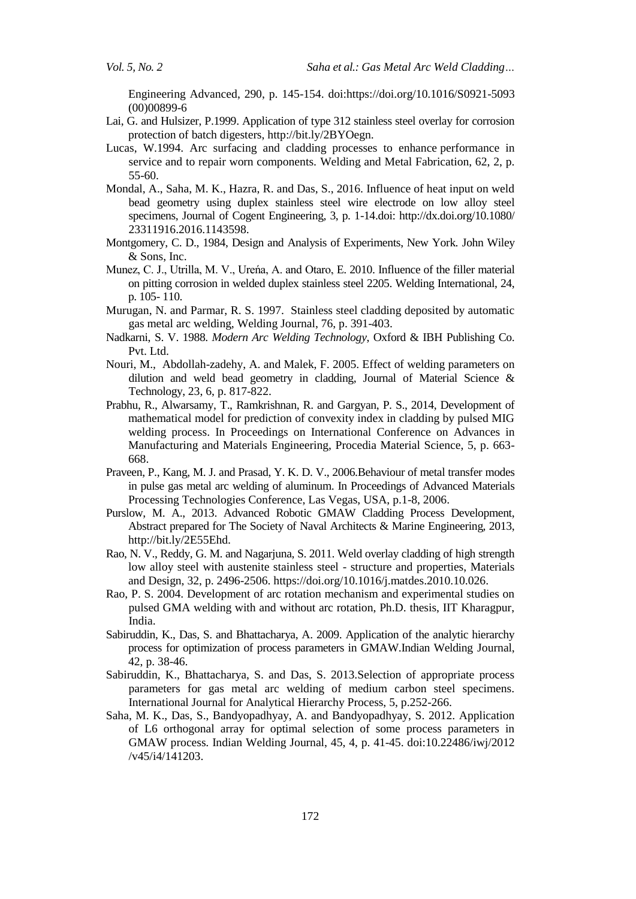Engineering Advanced, 290, p. 145-154. doi:https://doi.org/10.1016/S0921-5093 (00)00899-6

- Lai, G. and Hulsizer, P.1999. Application of type 312 stainless steel overlay for corrosion protection of batch digesters, http://bit.ly/2BYOegn.
- Lucas, W.1994. Arc surfacing and cladding processes to enhance performance in service and to repair worn components. Welding and Metal Fabrication, 62, 2, p. 55-60.
- Mondal, A., Saha, M. K., Hazra, R. and Das, S., 2016. Influence of heat input on weld bead geometry using duplex stainless steel wire electrode on low alloy steel specimens, Journal of Cogent Engineering, 3, p. 1-14.doi: http://dx.doi.org/10.1080/ 23311916.2016.1143598.
- Montgomery, C. D., 1984, Design and Analysis of Experiments, New York. John Wiley & Sons, Inc.
- Munez, C. J., Utrilla, M. V., Ureńa, A. and Otaro, E. 2010. Influence of the filler material on pitting corrosion in welded duplex stainless steel 2205. Welding International, 24, p. 105- 110.
- Murugan, N. and Parmar, R. S. 1997. Stainless steel cladding deposited by automatic gas metal arc welding, Welding Journal, 76, p. 391-403.
- Nadkarni, S. V. 1988. *Modern Arc Welding Technology*, Oxford & IBH Publishing Co. Pvt. Ltd.
- Nouri, M., Abdollah-zadehy, A. and Malek, F. 2005. Effect of welding parameters on dilution and weld bead geometry in cladding, Journal of Material Science & Technology, 23, 6, p. 817-822.
- Prabhu, R., Alwarsamy, T., Ramkrishnan, R. and Gargyan, P. S., 2014, Development of mathematical model for prediction of convexity index in cladding by pulsed MIG welding process. In Proceedings on International Conference on Advances in Manufacturing and Materials Engineering, Procedia Material Science, 5, p. 663- 668.
- Praveen, P., Kang, M. J. and Prasad, Y. K. D. V., 2006.Behaviour of metal transfer modes in pulse gas metal arc welding of aluminum. In Proceedings of Advanced Materials Processing Technologies Conference, Las Vegas, USA, p.1-8, 2006.
- Purslow, M. A., 2013. Advanced Robotic GMAW Cladding Process Development, Abstract prepared for The Society of Naval Architects & Marine Engineering, 2013, http://bit.ly/2E55Ehd.
- Rao, [N. V.,](http://www.sciencedirect.com/science/article/pii/S0261306910006229) Reddy, [G. M. a](http://www.sciencedirect.com/science/article/pii/S0261306910006229)nd Nagarjuna, [S.](http://www.sciencedirect.com/science/article/pii/S0261306910006229) 2011. Weld overlay cladding of high strength low alloy steel with austenite stainless steel - structure and properties, Materials and Design, 32, p. 2496-2506. https://doi.org/10.1016/j.matdes.2010.10.026.
- Rao, P. S. 2004. Development of arc rotation mechanism and experimental studies on pulsed GMA welding with and without arc rotation, Ph.D. thesis, IIT Kharagpur, India.
- Sabiruddin, K., Das, S. and Bhattacharya, A. 2009. Application of the analytic hierarchy process for optimization of process parameters in GMAW.Indian Welding Journal, 42, p. 38-46.
- Sabiruddin, K., Bhattacharya, S. and Das, S. 2013.Selection of appropriate process parameters for gas metal arc welding of medium carbon steel specimens. International Journal for Analytical Hierarchy Process, 5, p.252-266.
- Saha, M. K., Das, S., Bandyopadhyay, A. and Bandyopadhyay, S. 2012. Application of L6 orthogonal array for optimal selection of some process parameters in GMAW process. Indian Welding Journal, 45, 4, p. 41-45. doi:10.22486/iwj/2012 /v45/i4/141203.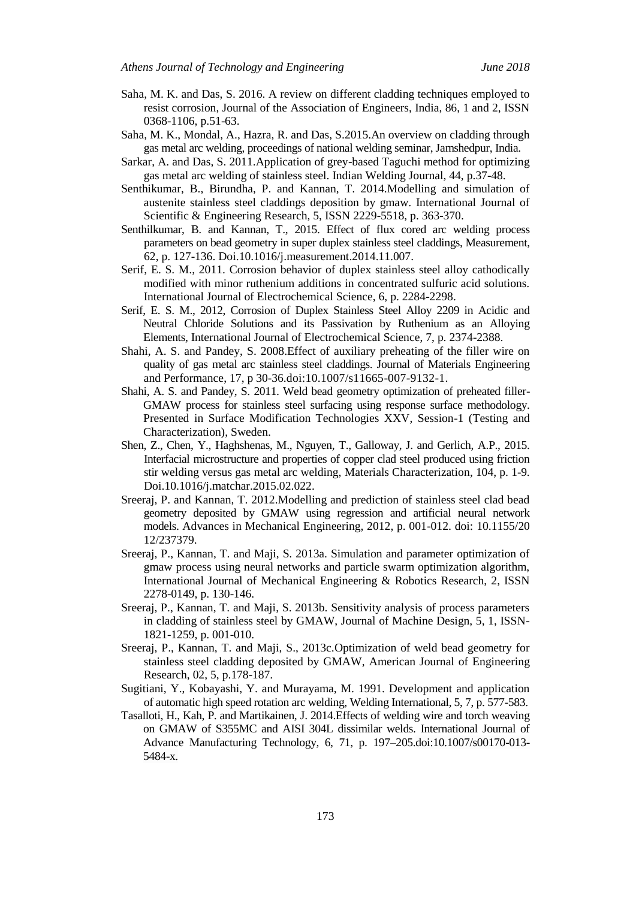- Saha, M. K. and Das, S. 2016. A review on different cladding techniques employed to resist corrosion, Journal of the Association of Engineers, India, 86, 1 and 2, ISSN 0368-1106, p.51-63.
- Saha, M. K., Mondal, A., Hazra, R. and Das, S.2015.An overview on cladding through gas metal arc welding, proceedings of national welding seminar, Jamshedpur, India.
- Sarkar, A. and Das, S. 2011.Application of grey-based Taguchi method for optimizing gas metal arc welding of stainless steel. Indian Welding Journal, 44, p.37-48.
- Senthikumar, B., Birundha, P. and Kannan, T. 2014.Modelling and simulation of austenite stainless steel claddings deposition by gmaw. International Journal of Scientific & Engineering Research, 5, ISSN 2229-5518, p. 363-370.
- [Senthilkumar, B](http://www.sciencedirect.com/science/article/pii/S0263224114005429#!). and [Kannan,](http://www.sciencedirect.com/science/article/pii/S0263224114005429#!) T., 2015. Effect of flux cored arc welding process parameters on bead geometry in super duplex stainless steel claddings, Measurement, 62, p. 127-136. Doi.10.1016/j.measurement.2014.11.007.
- Serif, E. S. M., 2011. Corrosion behavior of duplex stainless steel alloy cathodically modified with minor ruthenium additions in concentrated sulfuric acid solutions. International Journal of Electrochemical Science, 6, p. 2284-2298.
- Serif, E. S. M., 2012, Corrosion of Duplex Stainless Steel Alloy 2209 in Acidic and Neutral Chloride Solutions and its Passivation by Ruthenium as an Alloying Elements, International Journal of Electrochemical Science, 7, p. 2374-2388.
- Shahi, A. S. and Pandey, S. 2008.Effect of auxiliary preheating of the filler wire on quality of gas metal arc stainless steel claddings. Journal of Materials Engineering and Performance, 17, p 30-36.doi:10.1007/s11665-007-9132-1.
- Shahi, A. S. and Pandey, S. 2011. Weld bead geometry optimization of preheated filler-GMAW process for stainless steel surfacing using response surface methodology. Presented in Surface Modification Technologies XXV, Session-1 (Testing and Characterization), Sweden.
- [Shen, Z., Chen,](http://www.sciencedirect.com/science/article/pii/S1044580315000595#!) Y., [Haghshenas,](http://www.sciencedirect.com/science/article/pii/S1044580315000595#!) M., [Nguyen,](http://www.sciencedirect.com/science/article/pii/S1044580315000595#!) T., [Galloway, J](http://www.sciencedirect.com/science/article/pii/S1044580315000595#!). and [Gerlich,](http://www.sciencedirect.com/science/article/pii/S1044580315000595#!) A.P., 2015. Interfacial microstructure and properties of copper clad steel produced using friction stir welding versus gas metal arc welding, Materials Characterization, 104, p. 1-9. Doi.10.1016/j.matchar.2015.02.022.
- Sreeraj, P. and Kannan, T. 2012.Modelling and prediction of stainless steel clad bead geometry deposited by GMAW using regression and artificial neural network models. Advances in Mechanical Engineering, 2012, p. 001-012. doi: 10.1155/20 12/237379.
- Sreeraj, P., Kannan, T. and Maji, S. 2013a. Simulation and parameter optimization of gmaw process using neural networks and particle swarm optimization algorithm, International Journal of Mechanical Engineering & Robotics Research, 2, ISSN 2278-0149, p. 130-146.
- Sreeraj, P., Kannan, T. and Maji, S. 2013b. Sensitivity analysis of process parameters in cladding of stainless steel by GMAW, Journal of Machine Design, 5, 1, ISSN-1821-1259, p. 001-010.
- Sreeraj, P., Kannan, T. and Maji, S., 2013c.Optimization of weld bead geometry for stainless steel cladding deposited by GMAW, American Journal of Engineering Research, 02, 5, p.178-187.
- Sugitiani, Y., Kobayashi, Y. and Murayama, M. 1991. Development and application of automatic high speed rotation arc welding, Welding International, 5, 7, p. 577-583.
- Tasalloti, H., Kah, P. and Martikainen, J. 2014.Effects of welding wire and torch weaving on GMAW of S355MC and AISI 304L dissimilar welds. International Journal of Advance Manufacturing Technology, 6, 71, p. 197–205.doi:10.1007/s00170-013- 5484-x.